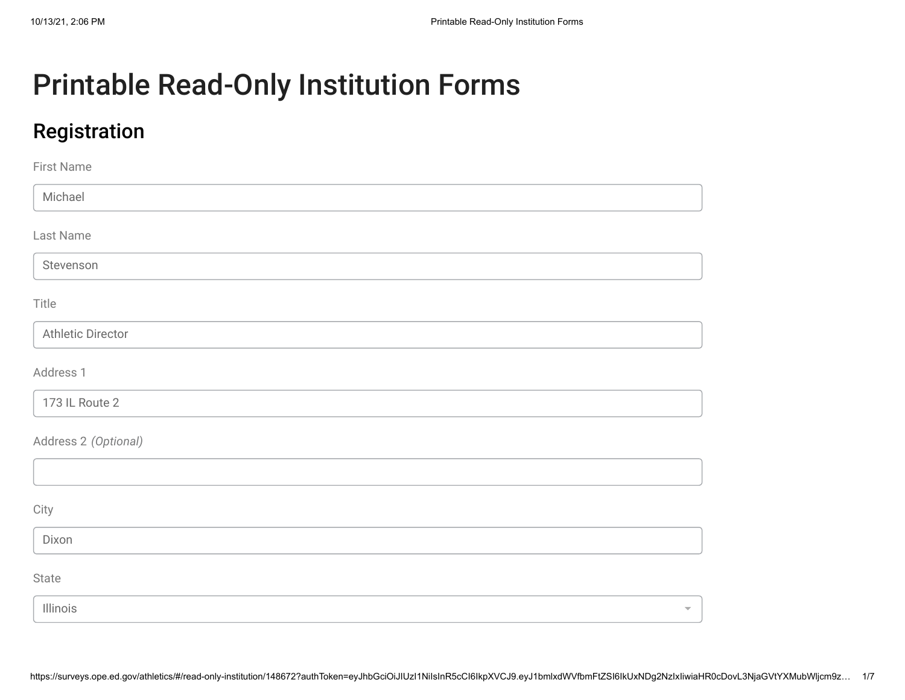# Printable Read-Only Institution Forms

## Registration

| First Name               |                     |
|--------------------------|---------------------|
| Michael                  |                     |
| Last Name                |                     |
| Stevenson                |                     |
| Title                    |                     |
| <b>Athletic Director</b> |                     |
| Address 1                |                     |
| 173 IL Route 2           |                     |
| Address 2 (Optional)     |                     |
|                          |                     |
| City                     |                     |
| Dixon                    |                     |
| State                    |                     |
| Illinois                 | $\overline{\nabla}$ |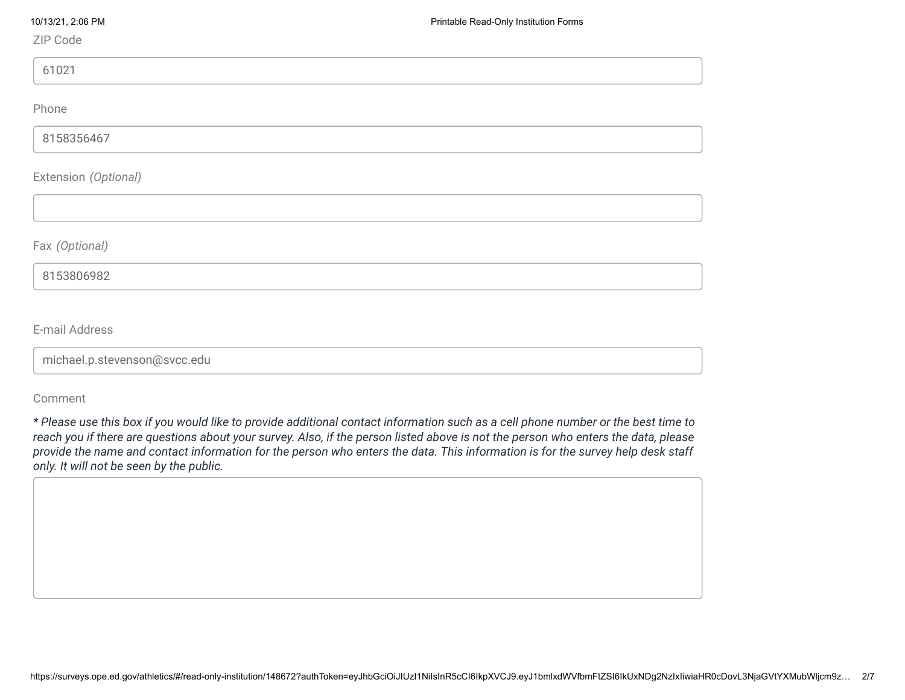ZIP Code

61021

Phone

8158356467

Extension *(Optional)*

Fax *(Optional)*

8153806982

E-mail Address

michael.p.stevenson@svcc.edu

Comment

*\* Please use this box if you would like to provide additional contact information such as a cell phone number or the best time to reach you if there are questions about your survey. Also, if the person listed above is not the person who enters the data, please provide the name and contact information for the person who enters the data. This information is for the survey help desk staff only. It will not be seen by the public.*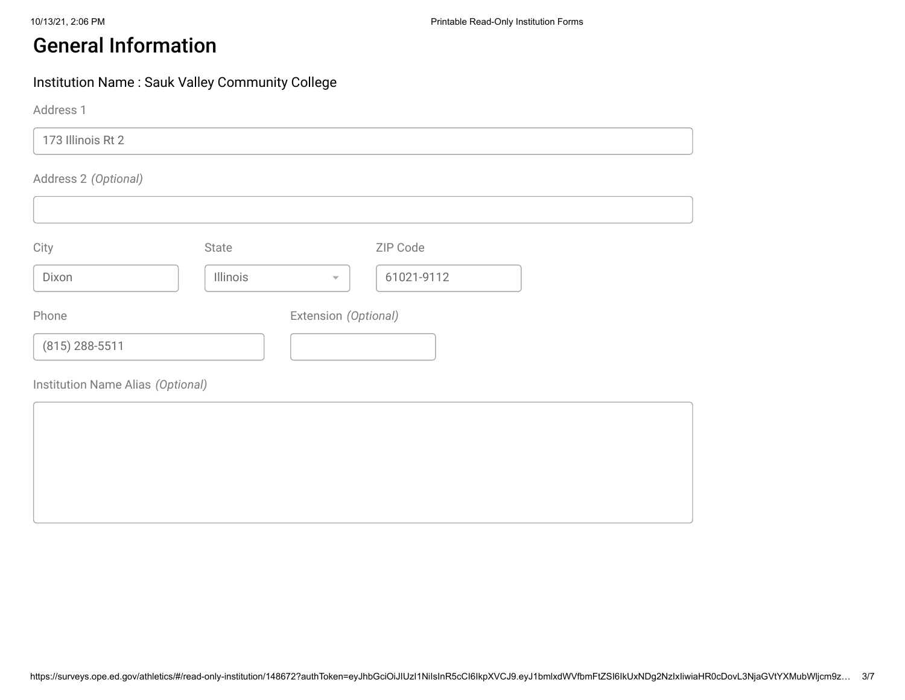## General Information

#### Institution Name : Sauk Valley Community College

Address 1

173 Illinois Rt 2

#### Address 2 *(Optional)*

| City             | State    | ZIP Code                               |  |
|------------------|----------|----------------------------------------|--|
| Dixon            | Illinois | 61021-9112<br>$\overline{\phantom{a}}$ |  |
| Phone            |          | Extension (Optional)                   |  |
| $(815)$ 288-5511 |          |                                        |  |

Institution Name Alias *(Optional)*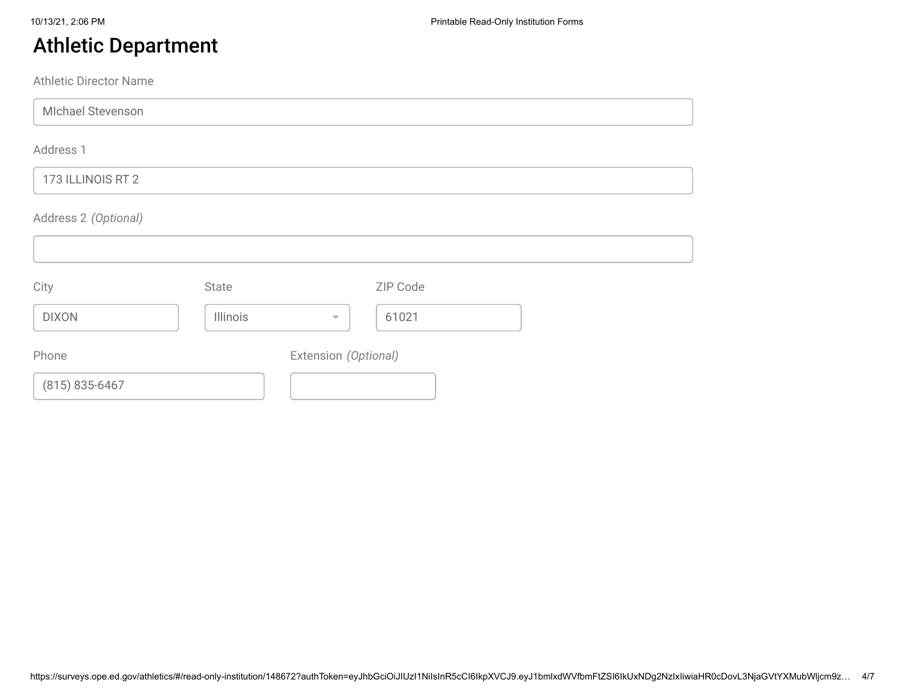## Athletic Department

Athletic Director Name

MIchael Stevenson

Address 1

#### 173 ILLINOIS RT 2

#### Address 2 *(Optional)*

| City               | State    |                          | ZIP Code |  |
|--------------------|----------|--------------------------|----------|--|
| <b>DIXON</b>       | Illinois | $\overline{\phantom{m}}$ | 61021    |  |
| Phone              |          | Extension (Optional)     |          |  |
| $(815) 835 - 6467$ |          |                          |          |  |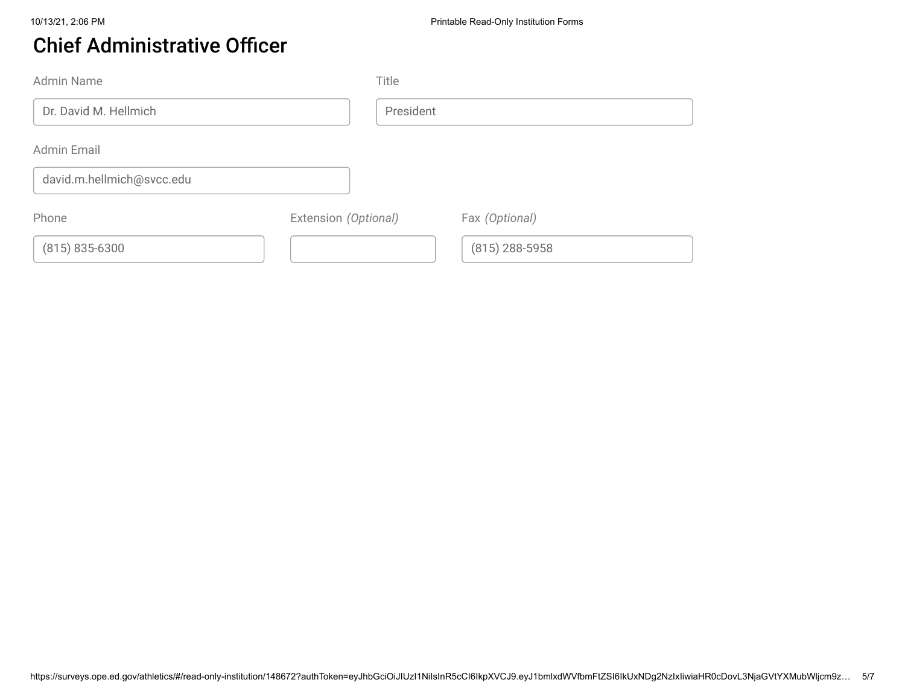## Chief Administrative Officer

| Admin Name                |                      | Title     |                  |
|---------------------------|----------------------|-----------|------------------|
| Dr. David M. Hellmich     |                      | President |                  |
| Admin Email               |                      |           |                  |
| david.m.hellmich@svcc.edu |                      |           |                  |
| Phone                     | Extension (Optional) |           | Fax (Optional)   |
| $(815) 835 - 6300$        |                      |           | $(815)$ 288-5958 |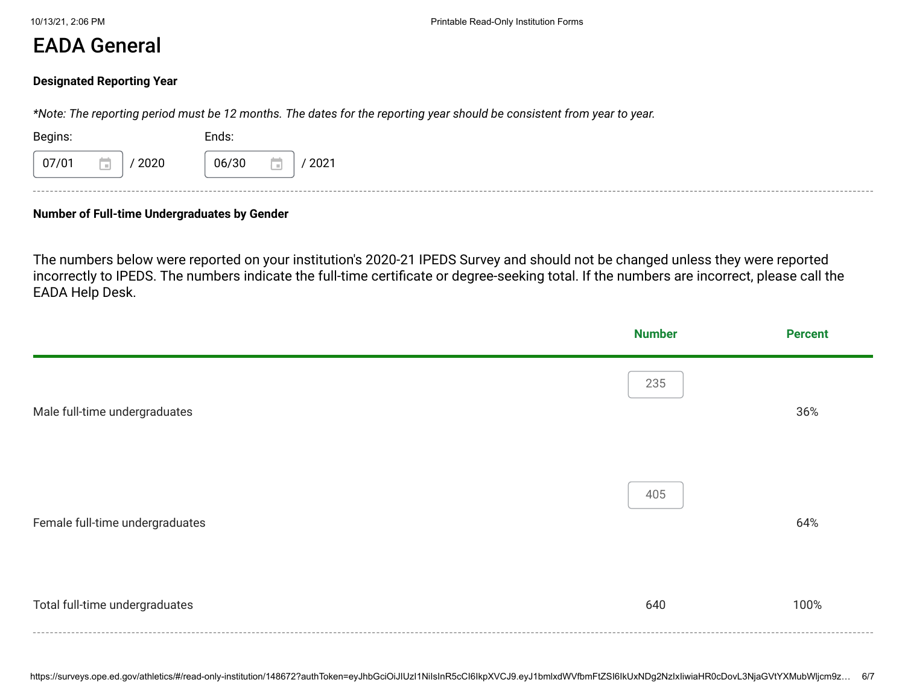#### EADA General

#### **Designated Reporting Year**

*\*Note: The reporting period must be 12 months. The dates for the reporting year should be consistent from year to year.*

| Begins:              | Ends:         |
|----------------------|---------------|
| 07/01<br>2020<br>. . | 06/30<br>2021 |
| ------               |               |

#### **Number of Full-time Undergraduates by Gender**

The numbers below were reported on your institution's 2020-21 IPEDS Survey and should not be changed unless they were reported incorrectly to IPEDS. The numbers indicate the full-time certificate or degree-seeking total. If the numbers are incorrect, please call the EADA Help Desk.

|                                 | <b>Number</b> | <b>Percent</b> |
|---------------------------------|---------------|----------------|
| Male full-time undergraduates   | 235           | 36%            |
| Female full-time undergraduates | 405           | 64%            |
| Total full-time undergraduates  | 640           | 100%           |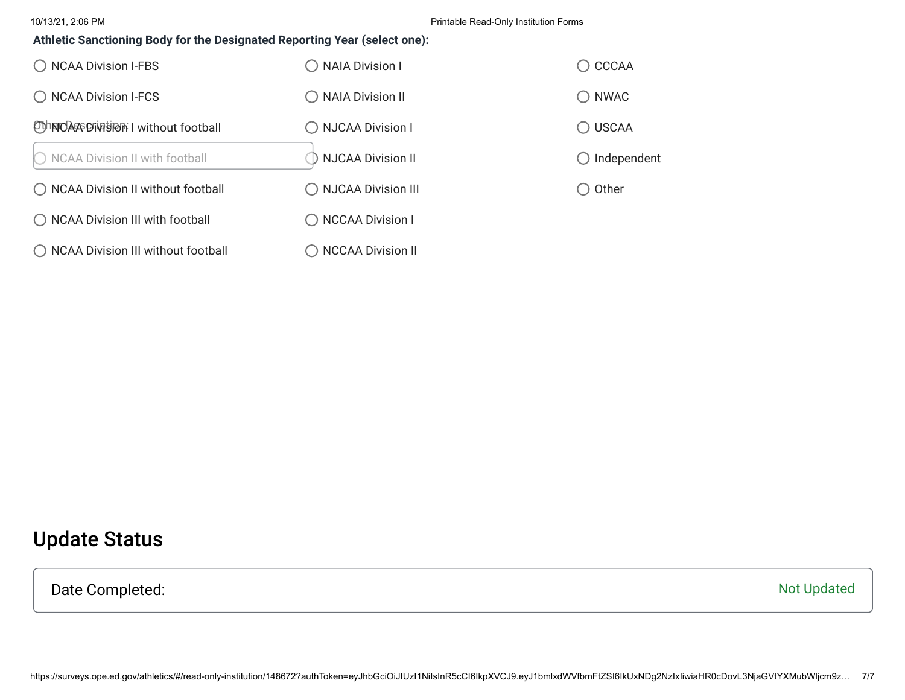10/13/21, 2:06 PM Printable Read-Only Institution Forms

#### **Athletic Sanctioning Body for the Designated Reporting Year (select one):**

| ◯ NCAA Division I-FBS                | <b>NAIA Division I</b>   | $\bigcirc$ CCCAA       |
|--------------------------------------|--------------------------|------------------------|
| ◯ NCAA Division I-FCS                | ◯ NAIA Division II       | $\bigcirc$ NWAC        |
| OthNOAC Division I without football  | ◯ NJCAA Division I       | $\bigcirc$ USCAA       |
| ◯ NCAA Division II with football     | <b>NJCAA Division II</b> | $\bigcirc$ Independent |
| ◯ NCAA Division II without football  | ◯ NJCAA Division III     | $\bigcirc$ Other       |
| ◯ NCAA Division III with football    | ◯ NCCAA Division I       |                        |
| ◯ NCAA Division III without football | <b>NCCAA Division II</b> |                        |

## Update Status

Date Completed: Not Updated Not Updated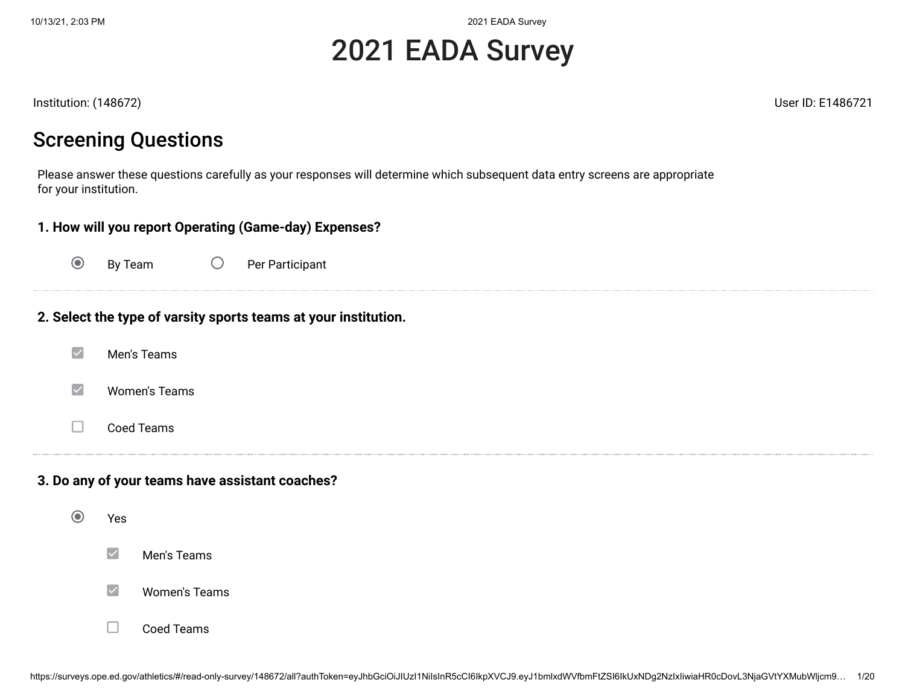# 2021 EADA Survey

Institution: (148672) User ID: E1486721

## Screening Questions

Please answer these questions carefully as your responses will determine which subsequent data entry screens are appropriate for your institution.

| 1. How will you report Operating (Game-day) Expenses? |                                                                 |  |  |  |  |  |  |
|-------------------------------------------------------|-----------------------------------------------------------------|--|--|--|--|--|--|
| $\odot$                                               | $\bigcirc$<br>By Team<br>Per Participant                        |  |  |  |  |  |  |
|                                                       | 2. Select the type of varsity sports teams at your institution. |  |  |  |  |  |  |
| $\blacktriangledown$                                  | Men's Teams                                                     |  |  |  |  |  |  |
| $\blacktriangledown$                                  | <b>Women's Teams</b>                                            |  |  |  |  |  |  |
|                                                       | Coed Teams                                                      |  |  |  |  |  |  |
| 3. Do any of your teams have assistant coaches?       |                                                                 |  |  |  |  |  |  |
| $\odot$                                               | Yes                                                             |  |  |  |  |  |  |
|                                                       | $\checkmark$<br>Men's Teams                                     |  |  |  |  |  |  |

#### $\blacktriangledown$ Women's Teams

#### Coed Teams $\Box$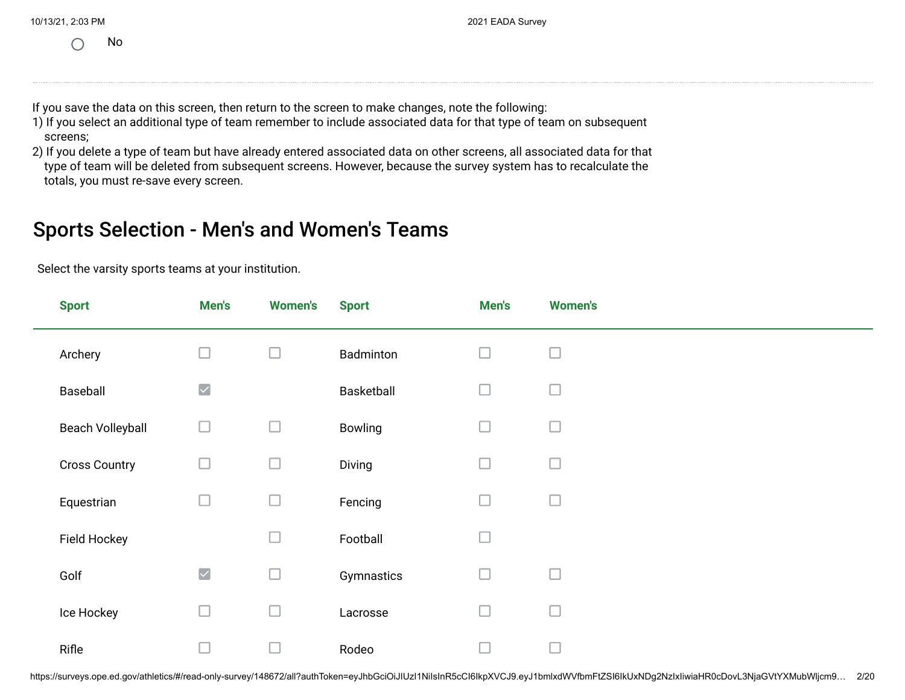|  | 10/13/21, 2:03 PM |  |
|--|-------------------|--|
|  |                   |  |

No

If you save the data on this screen, then return to the screen to make changes, note the following:

- 1) If you select an additional type of team remember to include associated data for that type of team on subsequent screens;
- 2) If you delete a type of team but have already entered associated data on other screens, all associated data for that type of team will be deleted from subsequent screens. However, because the survey system has to recalculate the totals, you must re-save every screen.

#### Sports Selection - Men's and Women's Teams

Select the varsity sports teams at your institution.

| <b>Sport</b>            | Men's                | <b>Women's</b> | <b>Sport</b> | Men's  | <b>Women's</b> |
|-------------------------|----------------------|----------------|--------------|--------|----------------|
| Archery                 |                      | $\Box$         | Badminton    | $\Box$ | $\Box$         |
| Baseball                | $\blacktriangledown$ |                | Basketball   | $\Box$ | $\Box$         |
| <b>Beach Volleyball</b> | ∟                    | □              | Bowling      | $\Box$ | $\Box$         |
| <b>Cross Country</b>    | $\mathbb{R}^n$       | $\Box$         | Diving       | $\Box$ | $\Box$         |
| Equestrian              | $\Box$               | $\Box$         | Fencing      | $\Box$ | $\Box$         |
| Field Hockey            |                      | ⊐              | Football     | $\Box$ |                |
| Golf                    | $\blacktriangledown$ | $\Box$         | Gymnastics   | $\Box$ | $\Box$         |
| Ice Hockey              | ∟                    | $\Box$         | Lacrosse     | $\Box$ | $\Box$         |
| Rifle                   |                      |                | Rodeo        | ⊏      |                |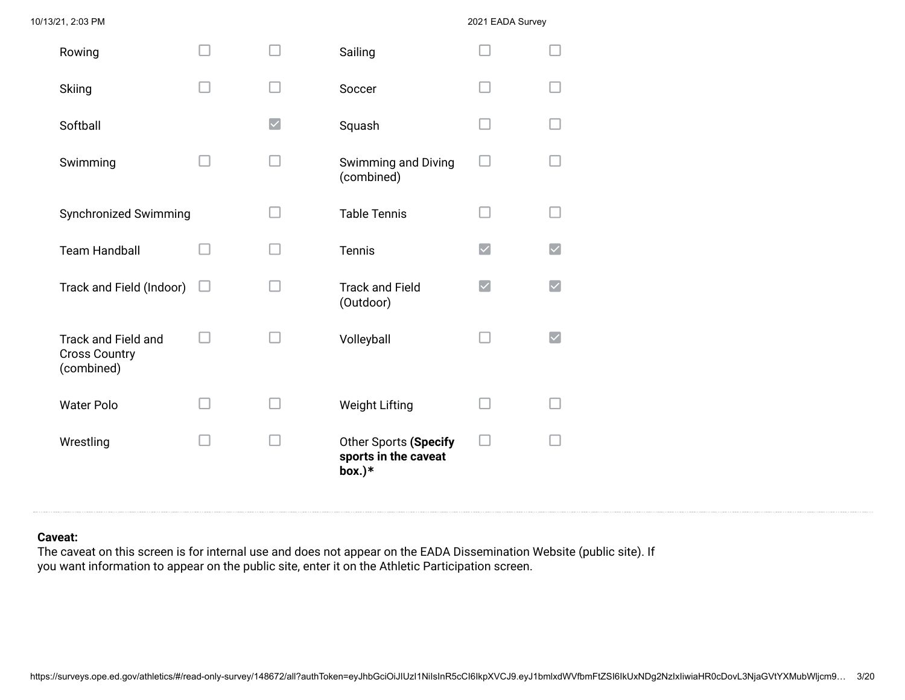| Rowing                                                    |                      | Sailing                                                   |                      |                         |
|-----------------------------------------------------------|----------------------|-----------------------------------------------------------|----------------------|-------------------------|
| <b>Skiing</b>                                             |                      | Soccer                                                    |                      |                         |
| Softball                                                  | $\blacktriangledown$ | Squash                                                    |                      |                         |
| Swimming                                                  |                      | Swimming and Diving<br>(combined)                         |                      |                         |
| Synchronized Swimming                                     |                      | <b>Table Tennis</b>                                       |                      |                         |
| <b>Team Handball</b>                                      |                      | <b>Tennis</b>                                             | $\blacktriangledown$ | $\overline{\checkmark}$ |
| Track and Field (Indoor)                                  |                      | <b>Track and Field</b><br>(Outdoor)                       |                      | $\blacktriangledown$    |
| Track and Field and<br><b>Cross Country</b><br>(combined) |                      | Volleyball                                                |                      | $\blacktriangledown$    |
| <b>Water Polo</b>                                         |                      | <b>Weight Lifting</b>                                     |                      |                         |
| Wrestling                                                 |                      | Other Sports (Specify<br>sports in the caveat<br>$box.)*$ |                      |                         |

#### **Caveat:**

The caveat on this screen is for internal use and does not appear on the EADA Dissemination Website (public site). If you want information to appear on the public site, enter it on the Athletic Participation screen.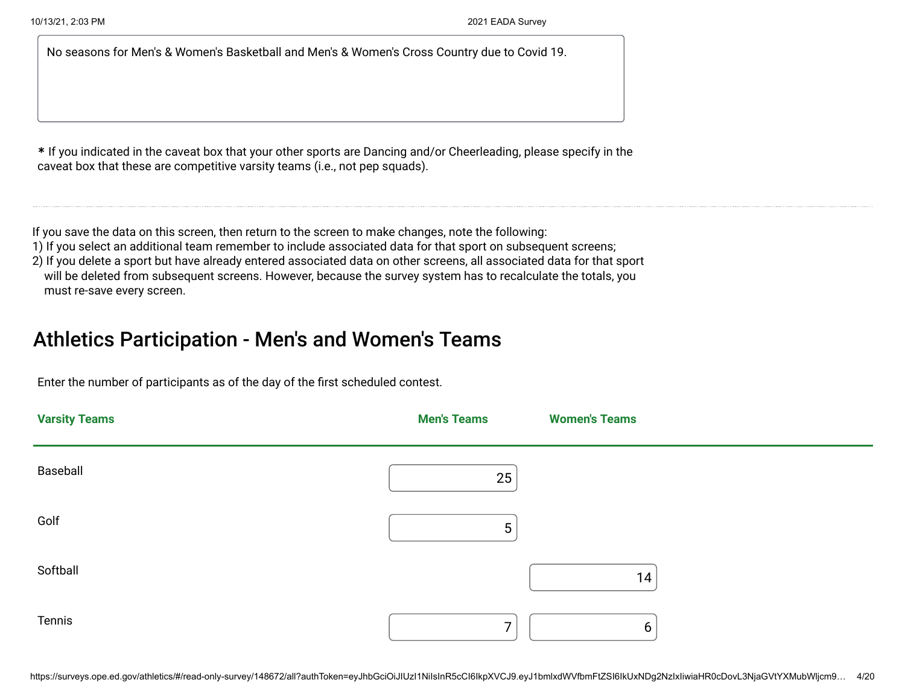No seasons for Men's & Women's Basketball and Men's & Women's Cross Country due to Covid 19.

**\*** If you indicated in the caveat box that your other sports are Dancing and/or Cheerleading, please specify in the caveat box that these are competitive varsity teams (i.e., not pep squads).

If you save the data on this screen, then return to the screen to make changes, note the following:

1) If you select an additional team remember to include associated data for that sport on subsequent screens;

2) If you delete a sport but have already entered associated data on other screens, all associated data for that sport will be deleted from subsequent screens. However, because the survey system has to recalculate the totals, you must re-save every screen.

## Athletics Participation - Men's and Women's Teams

Enter the number of participants as of the day of the first scheduled contest.

| <b>Varsity Teams</b> | <b>Men's Teams</b> | <b>Women's Teams</b> |
|----------------------|--------------------|----------------------|
| Baseball             | 25                 |                      |
| Golf                 | 5                  |                      |
| Softball             |                    | 14 <sub>1</sub>      |
| Tennis               | $\overline{7}$     | $6\phantom{1}6$      |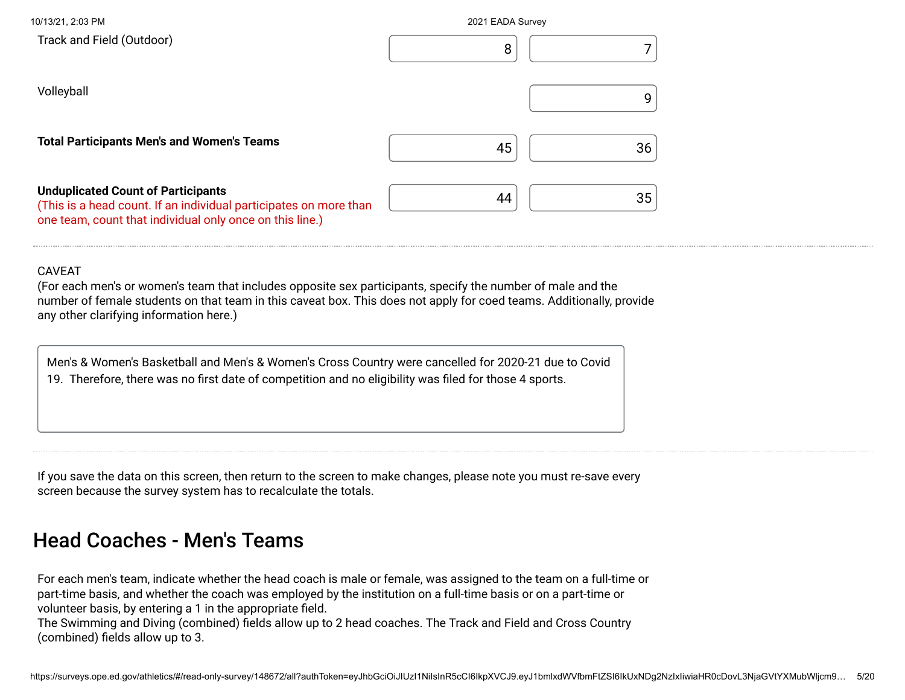| 10/13/21, 2:03 PM                                                                                                                                                          | 2021 EADA Survey |
|----------------------------------------------------------------------------------------------------------------------------------------------------------------------------|------------------|
| Track and Field (Outdoor)                                                                                                                                                  | 8                |
| Volleyball                                                                                                                                                                 | g                |
| <b>Total Participants Men's and Women's Teams</b>                                                                                                                          | 45<br>36         |
| <b>Unduplicated Count of Participants</b><br>(This is a head count. If an individual participates on more than<br>one team, count that individual only once on this line.) | 44<br>35         |

#### CAVEAT

(For each men's or women's team that includes opposite sex participants, specify the number of male and the number of female students on that team in this caveat box. This does not apply for coed teams. Additionally, provide any other clarifying information here.)

| Men's & Women's Basketball and Men's & Women's Cross Country were cancelled for 2020-21 due to Covid   |
|--------------------------------------------------------------------------------------------------------|
| 19. Therefore, there was no first date of competition and no eligibility was filed for those 4 sports. |
|                                                                                                        |

If you save the data on this screen, then return to the screen to make changes, please note you must re-save every screen because the survey system has to recalculate the totals.

### Head Coaches - Men's Teams

For each men's team, indicate whether the head coach is male or female, was assigned to the team on a full-time or part-time basis, and whether the coach was employed by the institution on a full-time basis or on a part-time or volunteer basis, by entering a 1 in the appropriate field. The Swimming and Diving (combined) fields allow up to 2 head coaches. The Track and Field and Cross Country (combined) fields allow up to 3.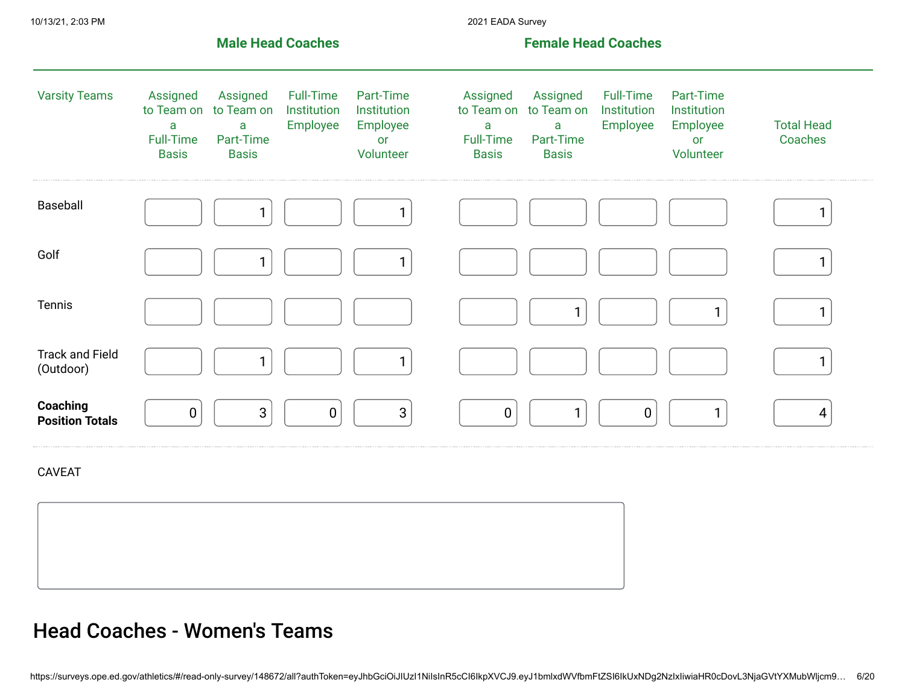|                                     |                                                                 | <b>Male Head Coaches</b>                                 |                                             |                                                         |                                                                 | <b>Female Head Coaches</b>                                          |                                             |                                                         |                              |
|-------------------------------------|-----------------------------------------------------------------|----------------------------------------------------------|---------------------------------------------|---------------------------------------------------------|-----------------------------------------------------------------|---------------------------------------------------------------------|---------------------------------------------|---------------------------------------------------------|------------------------------|
| <b>Varsity Teams</b>                | Assigned<br>to Team on<br>a<br><b>Full-Time</b><br><b>Basis</b> | Assigned<br>to Team on<br>a<br>Part-Time<br><b>Basis</b> | <b>Full-Time</b><br>Institution<br>Employee | Part-Time<br>Institution<br>Employee<br>or<br>Volunteer | Assigned<br>to Team on<br>a<br><b>Full-Time</b><br><b>Basis</b> | Assigned<br>to Team on<br>$\mathsf{a}$<br>Part-Time<br><b>Basis</b> | <b>Full-Time</b><br>Institution<br>Employee | Part-Time<br>Institution<br>Employee<br>or<br>Volunteer | <b>Total Head</b><br>Coaches |
| Baseball                            |                                                                 | 1                                                        |                                             | 1                                                       |                                                                 |                                                                     |                                             |                                                         | 1                            |
| Golf                                |                                                                 | $\mathbf{1}$                                             |                                             | $\mathbf{1}$                                            |                                                                 |                                                                     |                                             |                                                         | $\mathbf{1}$                 |
| Tennis                              |                                                                 |                                                          |                                             |                                                         |                                                                 | 1                                                                   |                                             | 1                                                       | 1.                           |
| <b>Track and Field</b><br>(Outdoor) |                                                                 | 1                                                        |                                             | $\mathbf{1}$                                            |                                                                 |                                                                     |                                             |                                                         | $\mathbf{1}$                 |
| Coaching<br><b>Position Totals</b>  | $\pmb{0}$                                                       | $\sqrt{3}$                                               | $\pmb{0}$                                   | $\mathbf{3}$                                            | $\pmb{0}$                                                       | $\mathbf{1}$                                                        | $\pmb{0}$                                   | $\mathbf{1}$                                            | 4                            |
| <b>CAVEAT</b>                       |                                                                 |                                                          |                                             |                                                         |                                                                 |                                                                     |                                             |                                                         |                              |
|                                     |                                                                 |                                                          |                                             |                                                         |                                                                 |                                                                     |                                             |                                                         |                              |
|                                     |                                                                 |                                                          |                                             |                                                         |                                                                 |                                                                     |                                             |                                                         |                              |

## Head Coaches - Women's Teams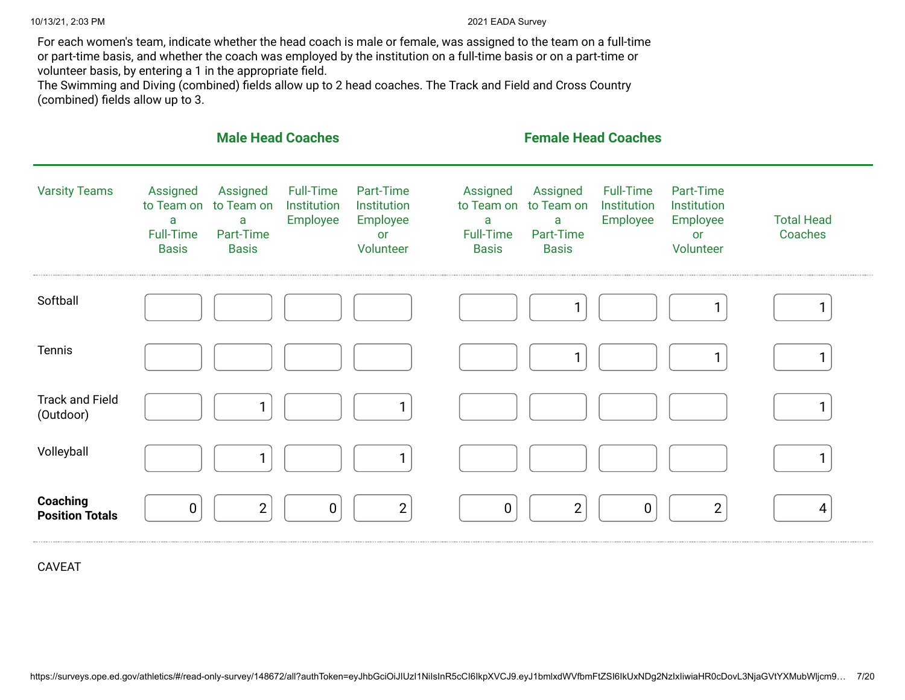For each women's team, indicate whether the head coach is male or female, was assigned to the team on a full-time or part-time basis, and whether the coach was employed by the institution on a full-time basis or on a part-time or volunteer basis, by entering a 1 in the appropriate field.

The Swimming and Diving (combined) fields allow up to 2 head coaches. The Track and Field and Cross Country (combined) fields allow up to 3.

|                                     |                                                                 | <b>Male Head Coaches</b>                                 |                                             |                                                         |                                                                 | <b>Female Head Coaches</b>                               |                                             |                                                         |                              |
|-------------------------------------|-----------------------------------------------------------------|----------------------------------------------------------|---------------------------------------------|---------------------------------------------------------|-----------------------------------------------------------------|----------------------------------------------------------|---------------------------------------------|---------------------------------------------------------|------------------------------|
| <b>Varsity Teams</b>                | Assigned<br>to Team on<br>a<br><b>Full-Time</b><br><b>Basis</b> | Assigned<br>to Team on<br>a<br>Part-Time<br><b>Basis</b> | <b>Full-Time</b><br>Institution<br>Employee | Part-Time<br>Institution<br>Employee<br>or<br>Volunteer | Assigned<br>to Team on<br>a<br><b>Full-Time</b><br><b>Basis</b> | Assigned<br>to Team on<br>a<br>Part-Time<br><b>Basis</b> | <b>Full-Time</b><br>Institution<br>Employee | Part-Time<br>Institution<br>Employee<br>or<br>Volunteer | <b>Total Head</b><br>Coaches |
| Softball                            |                                                                 |                                                          |                                             |                                                         |                                                                 | 1                                                        |                                             |                                                         | 1                            |
| Tennis                              |                                                                 |                                                          |                                             |                                                         |                                                                 | 1                                                        |                                             | 1                                                       | 1                            |
| <b>Track and Field</b><br>(Outdoor) |                                                                 | 1                                                        |                                             |                                                         |                                                                 |                                                          |                                             |                                                         | $\mathbf{1}$                 |
| Volleyball                          |                                                                 | 1                                                        |                                             |                                                         |                                                                 |                                                          |                                             |                                                         | 1                            |
| Coaching<br><b>Position Totals</b>  | $\pmb{0}$                                                       | $\overline{2}$                                           | $\mathbf 0$                                 | $\overline{2}$                                          | $\pmb{0}$                                                       | $\overline{2}$                                           | $\mathbf 0$                                 | $\overline{2}$                                          | $\overline{4}$               |

CAVEAT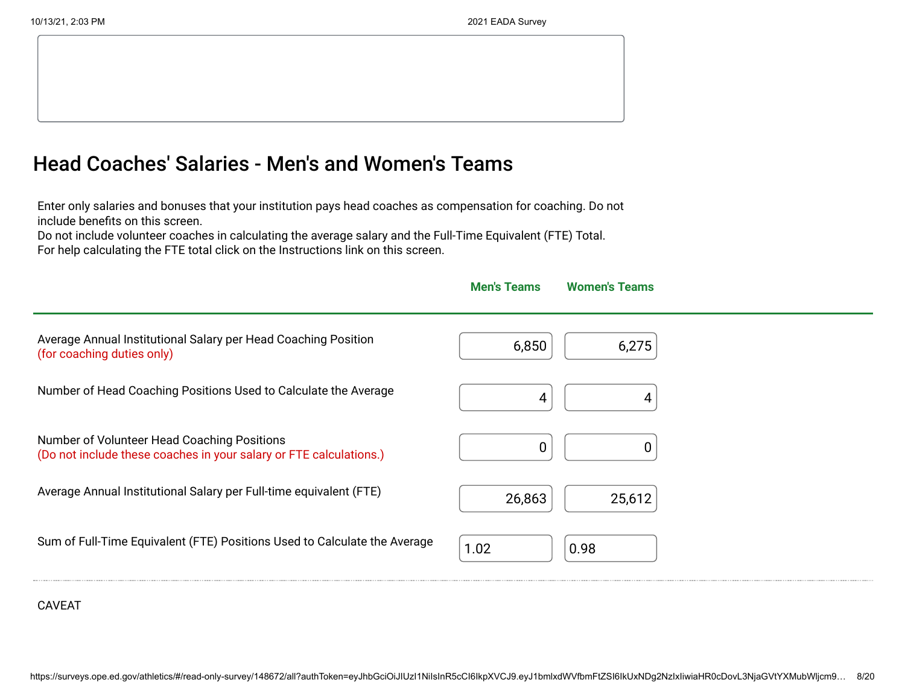## Head Coaches' Salaries - Men's and Women's Teams

Enter only salaries and bonuses that your institution pays head coaches as compensation for coaching. Do not include benefits on this screen.

Do not include volunteer coaches in calculating the average salary and the Full-Time Equivalent (FTE) Total. For help calculating the FTE total click on the Instructions link on this screen.



#### CAVEAT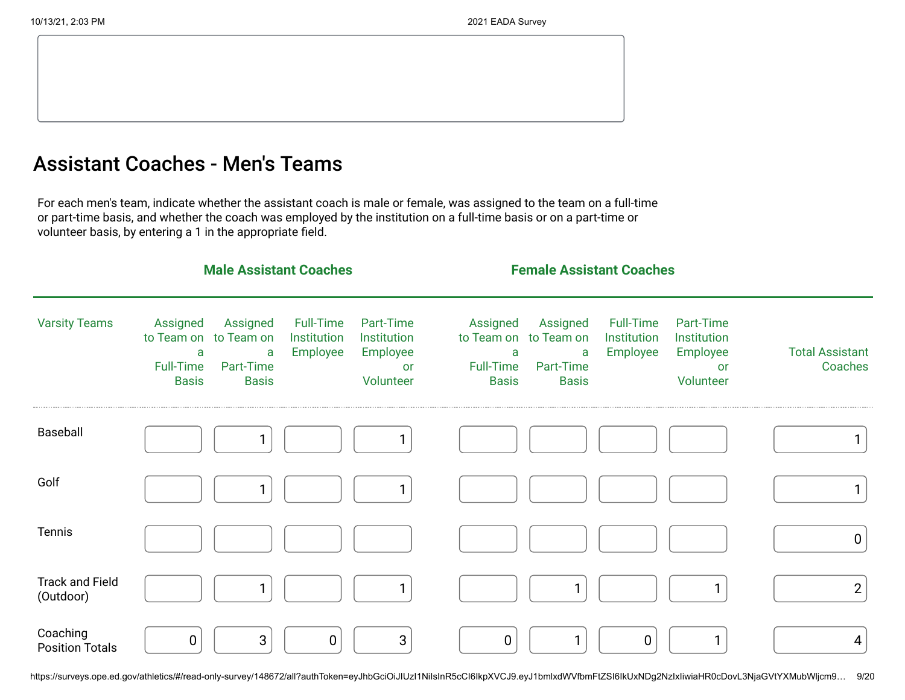## Assistant Coaches - Men's Teams

For each men's team, indicate whether the assistant coach is male or female, was assigned to the team on a full-time or part-time basis, and whether the coach was employed by the institution on a full-time basis or on a part-time or volunteer basis, by entering a 1 in the appropriate field.

|                                     |                                                   | <b>Male Assistant Coaches</b>                                       |                                      |                                                                |                                                   | <b>Female Assistant Coaches</b>                                     |                                             |                                                                |                                   |
|-------------------------------------|---------------------------------------------------|---------------------------------------------------------------------|--------------------------------------|----------------------------------------------------------------|---------------------------------------------------|---------------------------------------------------------------------|---------------------------------------------|----------------------------------------------------------------|-----------------------------------|
| <b>Varsity Teams</b>                | Assigned<br>a<br><b>Full-Time</b><br><b>Basis</b> | Assigned<br>to Team on to Team on<br>a<br>Part-Time<br><b>Basis</b> | Full-Time<br>Institution<br>Employee | Part-Time<br>Institution<br>Employee<br><b>or</b><br>Volunteer | Assigned<br>a<br><b>Full-Time</b><br><b>Basis</b> | Assigned<br>to Team on to Team on<br>a<br>Part-Time<br><b>Basis</b> | <b>Full-Time</b><br>Institution<br>Employee | Part-Time<br>Institution<br>Employee<br><b>or</b><br>Volunteer | <b>Total Assistant</b><br>Coaches |
| Baseball                            |                                                   |                                                                     |                                      |                                                                |                                                   |                                                                     |                                             |                                                                |                                   |
| Golf                                |                                                   |                                                                     |                                      | $\mathbf{1}$                                                   |                                                   |                                                                     |                                             |                                                                |                                   |
| Tennis                              |                                                   |                                                                     |                                      |                                                                |                                                   |                                                                     |                                             |                                                                | $\mathbf 0$                       |
| <b>Track and Field</b><br>(Outdoor) |                                                   |                                                                     |                                      |                                                                |                                                   | $\mathbf{1}$                                                        |                                             | 1                                                              | $\mathbf{2}$                      |
| Coaching<br><b>Position Totals</b>  | 0                                                 | $\sqrt{3}$                                                          | $\pmb{0}$                            | 3                                                              | $\mathbf 0$                                       | $\mathbf{1}$                                                        | $\boldsymbol{0}$                            | 1                                                              | 4                                 |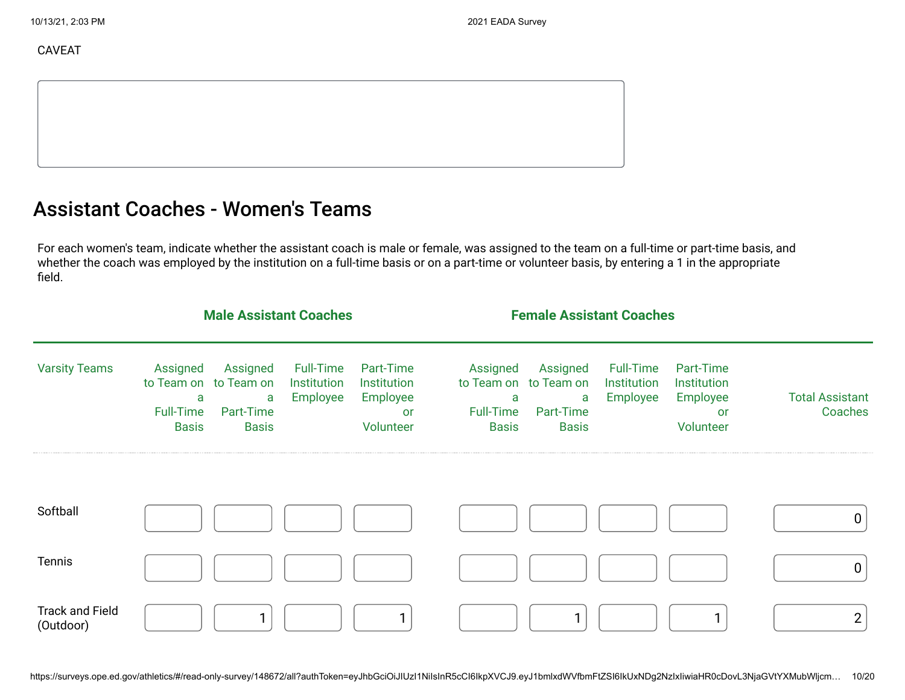CAVEAT

## Assistant Coaches - Women's Teams

For each women's team, indicate whether the assistant coach is male or female, was assigned to the team on a full-time or part-time basis, and whether the coach was employed by the institution on a full-time basis or on a part-time or volunteer basis, by entering a 1 in the appropriate field.

|                                     | <b>Male Assistant Coaches</b>                     |                                                                     |                                      |                                                                | <b>Female Assistant Coaches</b>                   |                                                                     |                                      |                                                                |                                   |
|-------------------------------------|---------------------------------------------------|---------------------------------------------------------------------|--------------------------------------|----------------------------------------------------------------|---------------------------------------------------|---------------------------------------------------------------------|--------------------------------------|----------------------------------------------------------------|-----------------------------------|
| <b>Varsity Teams</b>                | Assigned<br>a<br><b>Full-Time</b><br><b>Basis</b> | Assigned<br>to Team on to Team on<br>a<br>Part-Time<br><b>Basis</b> | Full-Time<br>Institution<br>Employee | Part-Time<br>Institution<br>Employee<br><b>or</b><br>Volunteer | Assigned<br>a<br><b>Full-Time</b><br><b>Basis</b> | Assigned<br>to Team on to Team on<br>a<br>Part-Time<br><b>Basis</b> | Full-Time<br>Institution<br>Employee | Part-Time<br>Institution<br>Employee<br><b>or</b><br>Volunteer | <b>Total Assistant</b><br>Coaches |
| Softball                            |                                                   |                                                                     |                                      |                                                                |                                                   |                                                                     |                                      |                                                                | $\mathbf 0$                       |
| Tennis                              |                                                   |                                                                     |                                      |                                                                |                                                   |                                                                     |                                      |                                                                | $\mathbf 0$                       |
| <b>Track and Field</b><br>(Outdoor) |                                                   |                                                                     |                                      |                                                                |                                                   | 1                                                                   |                                      |                                                                | $\overline{2}$                    |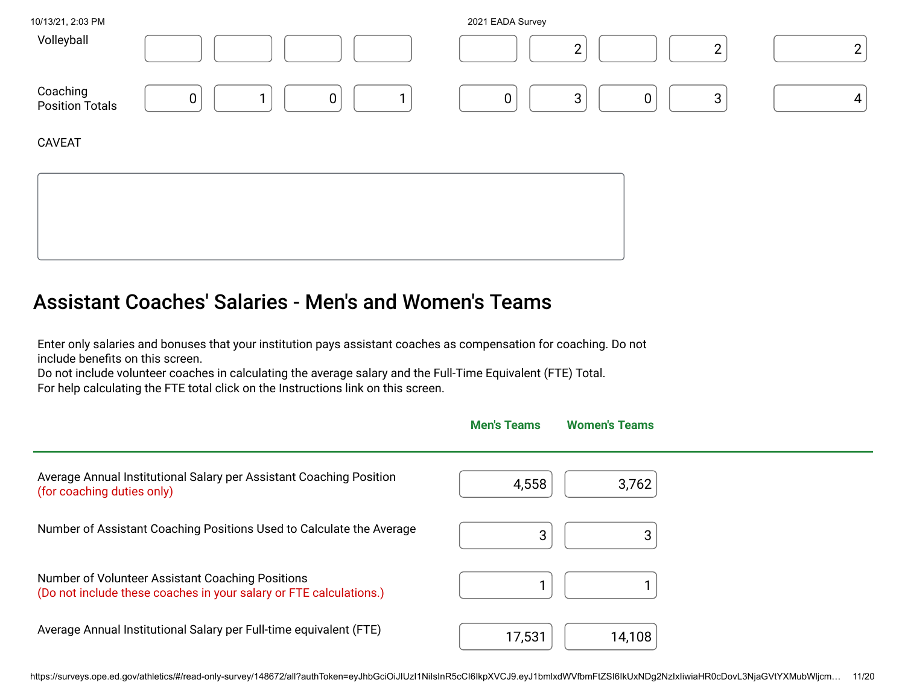| 10/13/21, 2:03 PM           |             |                |  | 2021 EADA Survey |                |             |   |   |
|-----------------------------|-------------|----------------|--|------------------|----------------|-------------|---|---|
| Volleyball                  |             |                |  |                  | $\overline{2}$ |             | ◠ | ◠ |
| Coaching<br>Position Totals | $\mathbf 0$ | $\overline{0}$ |  | $\boldsymbol{0}$ | 3              | $\mathbf 0$ | 3 | 4 |
| <b>CAVEAT</b>               |             |                |  |                  |                |             |   |   |
|                             |             |                |  |                  |                |             |   |   |

## Assistant Coaches' Salaries - Men's and Women's Teams

Enter only salaries and bonuses that your institution pays assistant coaches as compensation for coaching. Do not include benefits on this screen.

Do not include volunteer coaches in calculating the average salary and the Full-Time Equivalent (FTE) Total. For help calculating the FTE total click on the Instructions link on this screen.

|                                                                                                                        | <b>Men's Teams</b> | <b>Women's Teams</b> |  |
|------------------------------------------------------------------------------------------------------------------------|--------------------|----------------------|--|
| Average Annual Institutional Salary per Assistant Coaching Position<br>(for coaching duties only)                      | 4,558              | 3,762                |  |
| Number of Assistant Coaching Positions Used to Calculate the Average                                                   | 3                  | 3                    |  |
| Number of Volunteer Assistant Coaching Positions<br>(Do not include these coaches in your salary or FTE calculations.) |                    |                      |  |
| Average Annual Institutional Salary per Full-time equivalent (FTE)                                                     | 17,531             | 14,108               |  |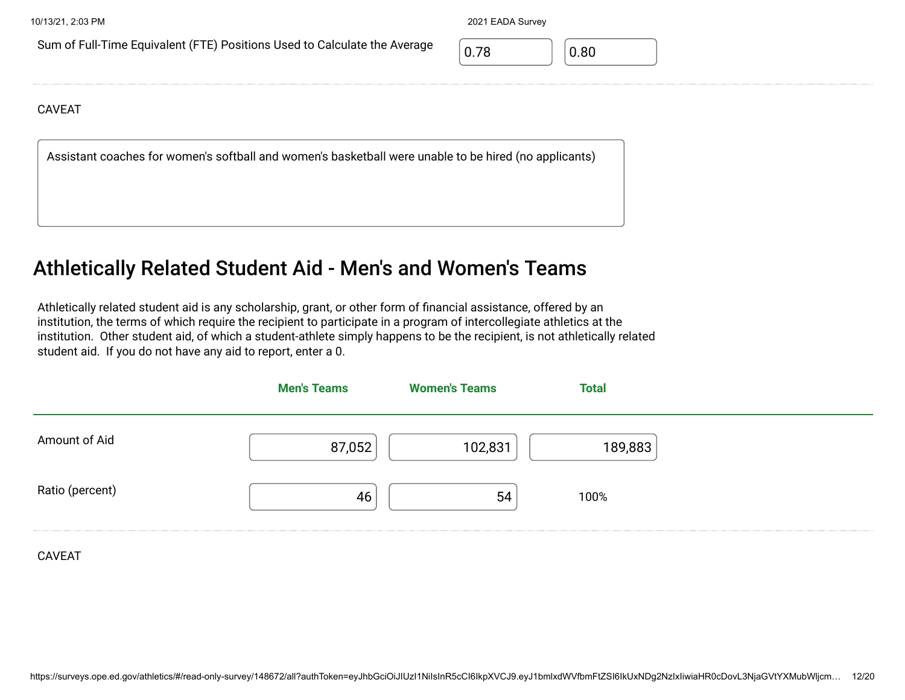Sum of Full-Time Equivalent (FTE) Positions Used to Calculate the Average  $\sqrt{0.78}$  0.80

#### CAVEAT

Assistant coaches for women's softball and women's basketball were unable to be hired (no applicants)

#### Athletically Related Student Aid - Men's and Women's Teams

Athletically related student aid is any scholarship, grant, or other form of financial assistance, offered by an institution, the terms of which require the recipient to participate in a program of intercollegiate athletics at the institution. Other student aid, of which a student-athlete simply happens to be the recipient, is not athletically related student aid. If you do not have any aid to report, enter a 0.

|                 | <b>Men's Teams</b> | <b>Women's Teams</b> | Total   |  |
|-----------------|--------------------|----------------------|---------|--|
| Amount of Aid   | 87,052             | 102,831              | 189,883 |  |
| Ratio (percent) | 46                 | 54                   | 100%    |  |
|                 |                    |                      |         |  |

CAVEAT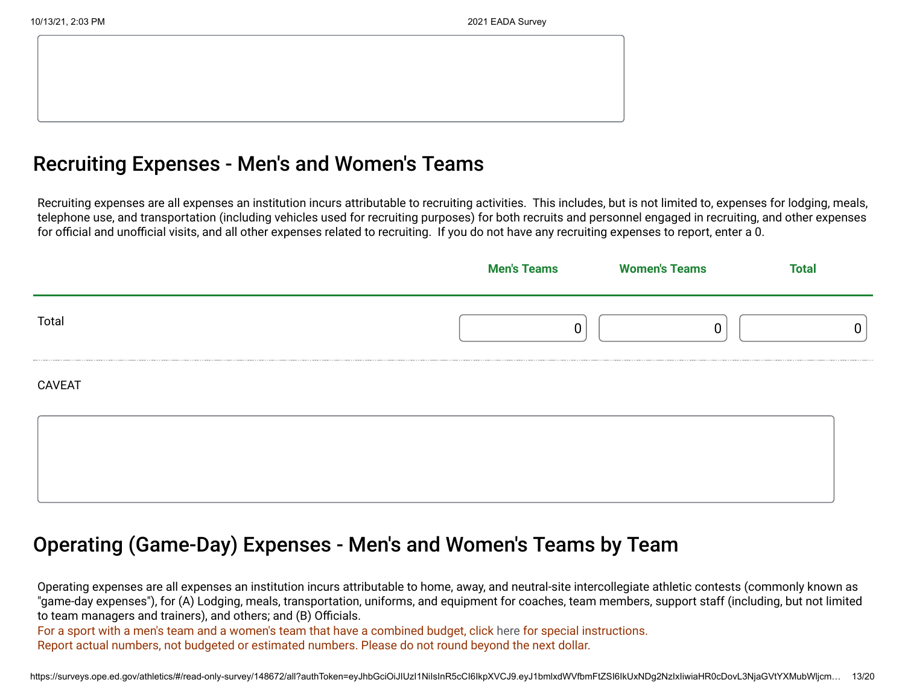#### Recruiting Expenses - Men's and Women's Teams

Recruiting expenses are all expenses an institution incurs attributable to recruiting activities. This includes, but is not limited to, expenses for lodging, meals, telephone use, and transportation (including vehicles used for recruiting purposes) for both recruits and personnel engaged in recruiting, and other expenses for official and unofficial visits, and all other expenses related to recruiting. If you do not have any recruiting expenses to report, enter a 0.

|               | <b>Men's Teams</b> | <b>Women's Teams</b> | <b>Total</b> |
|---------------|--------------------|----------------------|--------------|
| Total         |                    |                      |              |
| <b>CAVEAT</b> |                    |                      |              |
|               |                    |                      |              |
|               |                    |                      |              |

#### Operating (Game-Day) Expenses - Men's and Women's Teams by Team

Operating expenses are all expenses an institution incurs attributable to home, away, and neutral-site intercollegiate athletic contests (commonly known as "game-day expenses"), for (A) Lodging, meals, transportation, uniforms, and equipment for coaches, team members, support staff (including, but not limited to team managers and trainers), and others; and (B) Officials.

For a sport with a men's team and a women's team that have a combined budget, click here for special instructions. Report actual numbers, not budgeted or estimated numbers. Please do not round beyond the next dollar.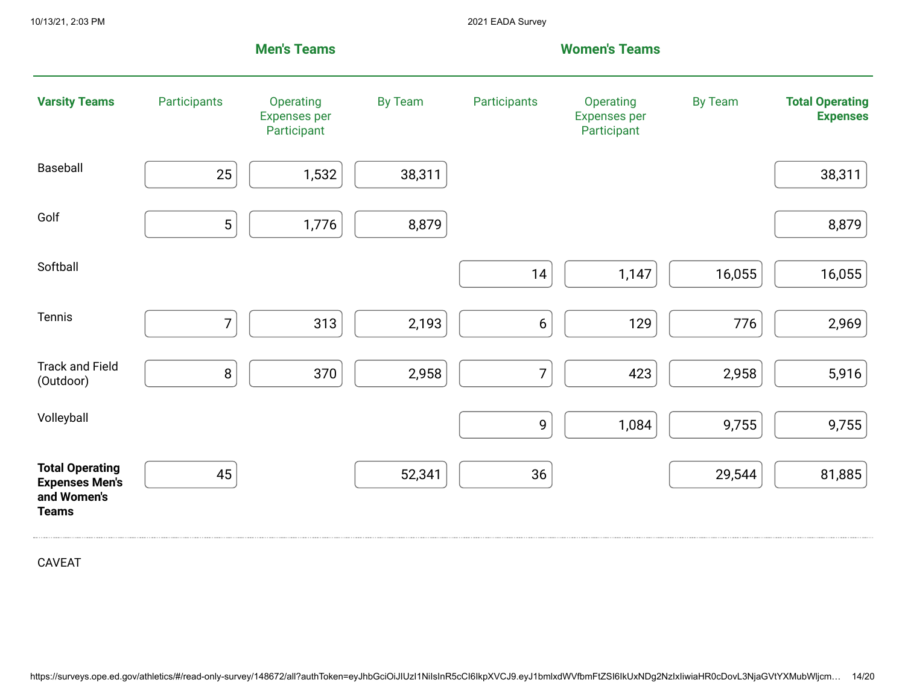|                                                                                |                | <b>Men's Teams</b>                              |                |                  | <b>Women's Teams</b>                            |                |                                           |
|--------------------------------------------------------------------------------|----------------|-------------------------------------------------|----------------|------------------|-------------------------------------------------|----------------|-------------------------------------------|
| <b>Varsity Teams</b>                                                           | Participants   | Operating<br><b>Expenses per</b><br>Participant | <b>By Team</b> | Participants     | Operating<br><b>Expenses per</b><br>Participant | <b>By Team</b> | <b>Total Operating</b><br><b>Expenses</b> |
| Baseball                                                                       | 25             | 1,532                                           | 38,311         |                  |                                                 |                | 38,311                                    |
| Golf                                                                           | 5              | 1,776                                           | 8,879          |                  |                                                 |                | 8,879                                     |
| Softball                                                                       |                |                                                 |                | 14               | 1,147                                           | 16,055         | 16,055                                    |
| Tennis                                                                         | $\overline{7}$ | 313                                             | 2,193          | $\boldsymbol{6}$ | 129                                             | 776            | 2,969                                     |
| <b>Track and Field</b><br>(Outdoor)                                            | $\, 8$         | 370                                             | 2,958          | $\overline{7}$   | 423                                             | 2,958          | 5,916                                     |
| Volleyball                                                                     |                |                                                 |                | 9                | 1,084                                           | 9,755          | 9,755                                     |
| <b>Total Operating</b><br><b>Expenses Men's</b><br>and Women's<br><b>Teams</b> | 45             |                                                 | 52,341         | 36               |                                                 | 29,544         | 81,885                                    |

CAVEAT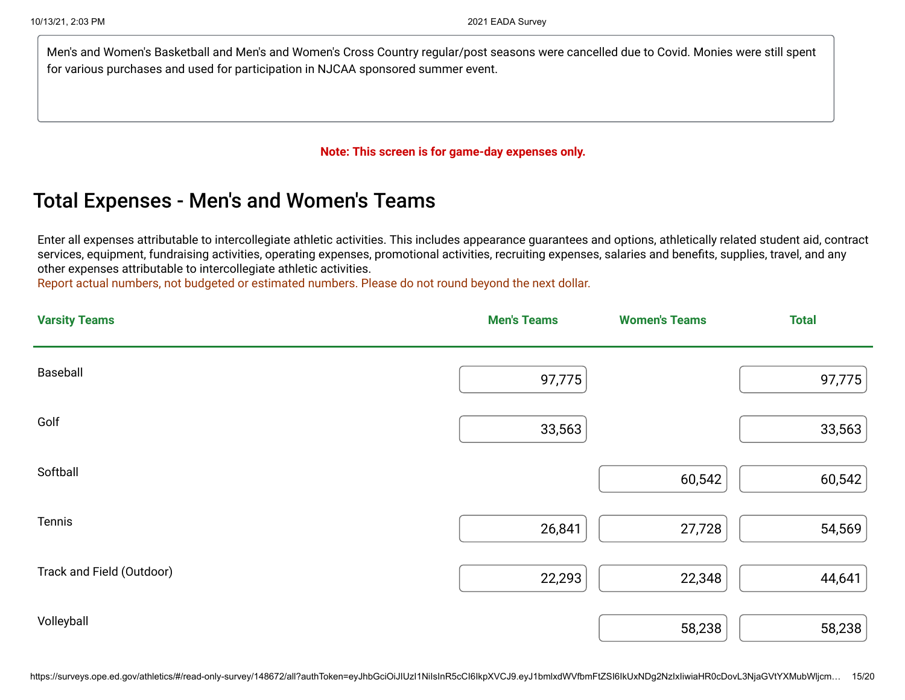Men's and Women's Basketball and Men's and Women's Cross Country regular/post seasons were cancelled due to Covid. Monies were still spent for various purchases and used for participation in NJCAA sponsored summer event.

#### **Note: This screen is for game-day expenses only.**

## Total Expenses - Men's and Women's Teams

Enter all expenses attributable to intercollegiate athletic activities. This includes appearance guarantees and options, athletically related student aid, contract services, equipment, fundraising activities, operating expenses, promotional activities, recruiting expenses, salaries and benefits, supplies, travel, and any other expenses attributable to intercollegiate athletic activities.

Report actual numbers, not budgeted or estimated numbers. Please do not round beyond the next dollar.

| <b>Varsity Teams</b>      | <b>Men's Teams</b> | <b>Women's Teams</b> | <b>Total</b> |
|---------------------------|--------------------|----------------------|--------------|
| Baseball                  | 97,775             |                      | 97,775       |
| Golf                      | 33,563             |                      | 33,563       |
| Softball                  |                    | 60,542               | 60,542       |
| Tennis                    | 26,841             | 27,728               | 54,569       |
| Track and Field (Outdoor) | 22,293             | 22,348               | 44,641       |
| Volleyball                |                    | 58,238               | 58,238       |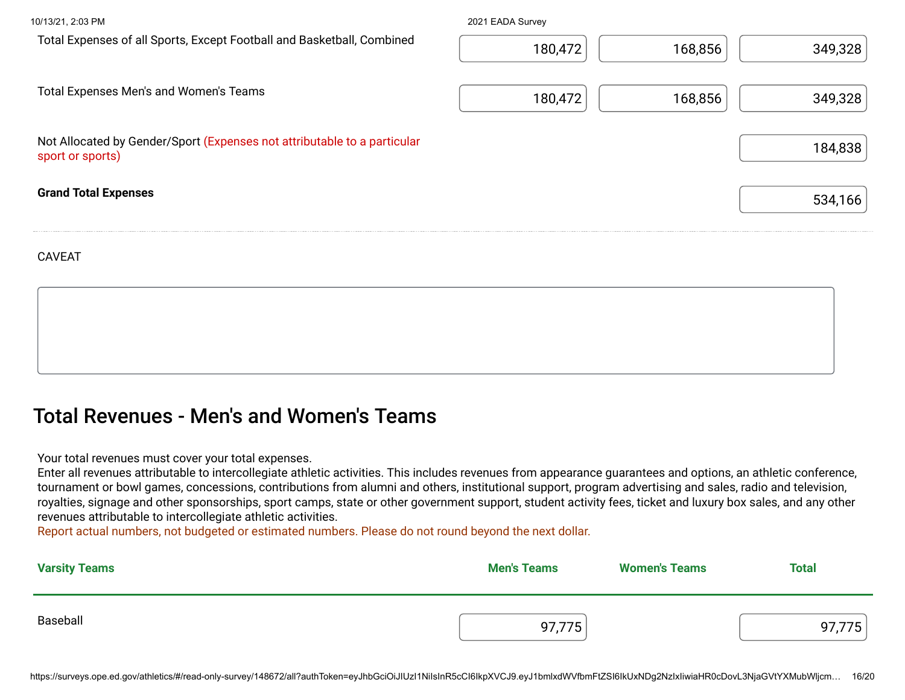| 10/13/21, 2:03 PM                                                                            | 2021 EADA Survey |         |         |
|----------------------------------------------------------------------------------------------|------------------|---------|---------|
| Total Expenses of all Sports, Except Football and Basketball, Combined                       | 180,472          | 168,856 | 349,328 |
| <b>Total Expenses Men's and Women's Teams</b>                                                | 180,472          | 168,856 | 349,328 |
| Not Allocated by Gender/Sport (Expenses not attributable to a particular<br>sport or sports) |                  |         | 184,838 |
| <b>Grand Total Expenses</b>                                                                  |                  |         | 534,166 |
|                                                                                              |                  |         |         |

CAVEAT

## Total Revenues - Men's and Women's Teams

Your total revenues must cover your total expenses.

Enter all revenues attributable to intercollegiate athletic activities. This includes revenues from appearance guarantees and options, an athletic conference, tournament or bowl games, concessions, contributions from alumni and others, institutional support, program advertising and sales, radio and television, royalties, signage and other sponsorships, sport camps, state or other government support, student activity fees, ticket and luxury box sales, and any other revenues attributable to intercollegiate athletic activities.

Report actual numbers, not budgeted or estimated numbers. Please do not round beyond the next dollar.

| <b>Varsity Teams</b> | <b>Men's Teams</b> | <b>Women's Teams</b> | <b>Total</b> |
|----------------------|--------------------|----------------------|--------------|
| Baseball             | 97,775             |                      | 775          |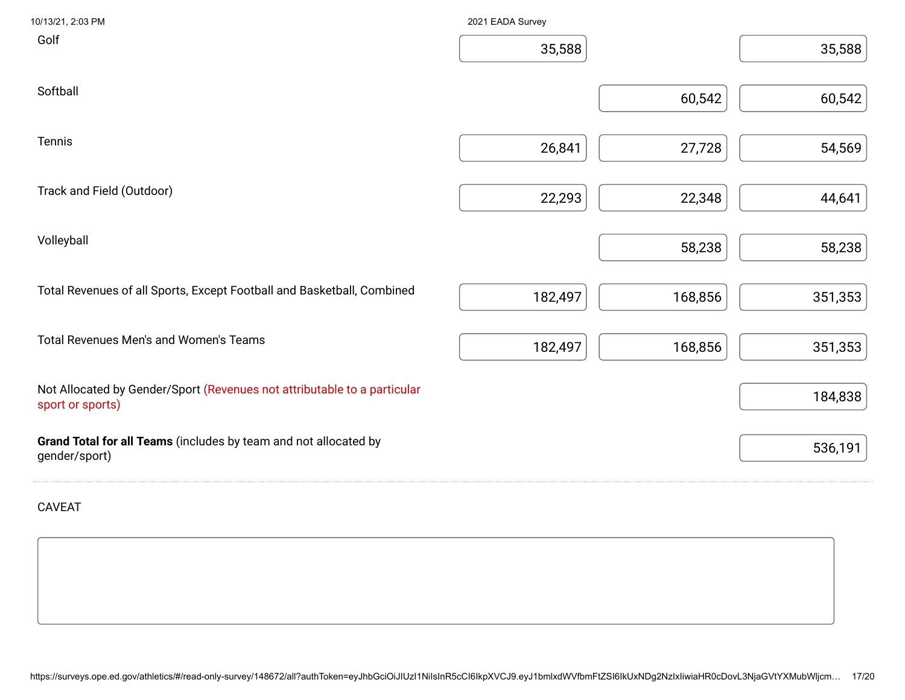| 10/13/21, 2:03 PM                                                                            | 2021 EADA Survey |         |         |
|----------------------------------------------------------------------------------------------|------------------|---------|---------|
| Golf                                                                                         | 35,588           |         | 35,588  |
| Softball                                                                                     |                  | 60,542  | 60,542  |
| Tennis                                                                                       | 26,841           | 27,728  | 54,569  |
| Track and Field (Outdoor)                                                                    | 22,293           | 22,348  | 44,641  |
| Volleyball                                                                                   |                  | 58,238  | 58,238  |
| Total Revenues of all Sports, Except Football and Basketball, Combined                       | 182,497          | 168,856 | 351,353 |
| Total Revenues Men's and Women's Teams                                                       | 182,497          | 168,856 | 351,353 |
| Not Allocated by Gender/Sport (Revenues not attributable to a particular<br>sport or sports) |                  |         | 184,838 |
| Grand Total for all Teams (includes by team and not allocated by<br>gender/sport)            |                  |         | 536,191 |
| <b>CAVEAT</b>                                                                                |                  |         |         |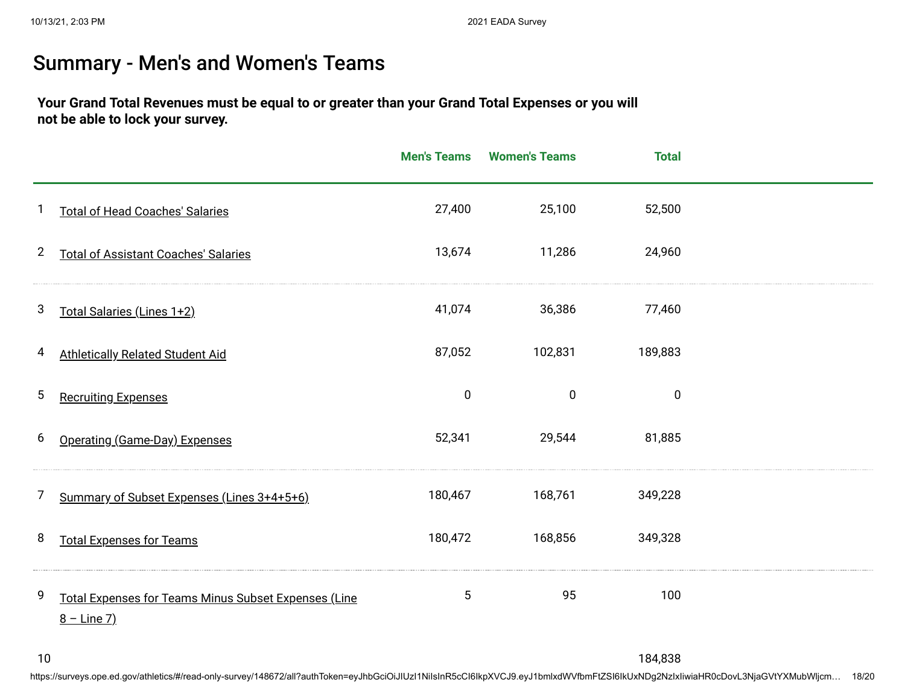## Summary - Men's and Women's Teams

#### **Your Grand Total Revenues must be equal to or greater than your Grand Total Expenses or you will not be able to lock your survey.**

|                |                                                                       | <b>Men's Teams</b> | <b>Women's Teams</b> | <b>Total</b> |  |
|----------------|-----------------------------------------------------------------------|--------------------|----------------------|--------------|--|
|                | <b>Total of Head Coaches' Salaries</b>                                | 27,400             | 25,100               | 52,500       |  |
| $\overline{2}$ | <b>Total of Assistant Coaches' Salaries</b>                           | 13,674             | 11,286               | 24,960       |  |
| 3              | Total Salaries (Lines 1+2)                                            | 41,074             | 36,386               | 77,460       |  |
| 4              | <b>Athletically Related Student Aid</b>                               | 87,052             | 102,831              | 189,883      |  |
| 5              | <b>Recruiting Expenses</b>                                            | $\pmb{0}$          | $\pmb{0}$            | $\mathbf 0$  |  |
| 6              | Operating (Game-Day) Expenses                                         | 52,341             | 29,544               | 81,885       |  |
| 7              | Summary of Subset Expenses (Lines 3+4+5+6)                            | 180,467            | 168,761              | 349,228      |  |
| 8              | <b>Total Expenses for Teams</b>                                       | 180,472            | 168,856              | 349,328      |  |
| 9              | Total Expenses for Teams Minus Subset Expenses (Line<br>$8 - Line 7)$ | $\mathbf 5$        | 95                   | 100          |  |

184,838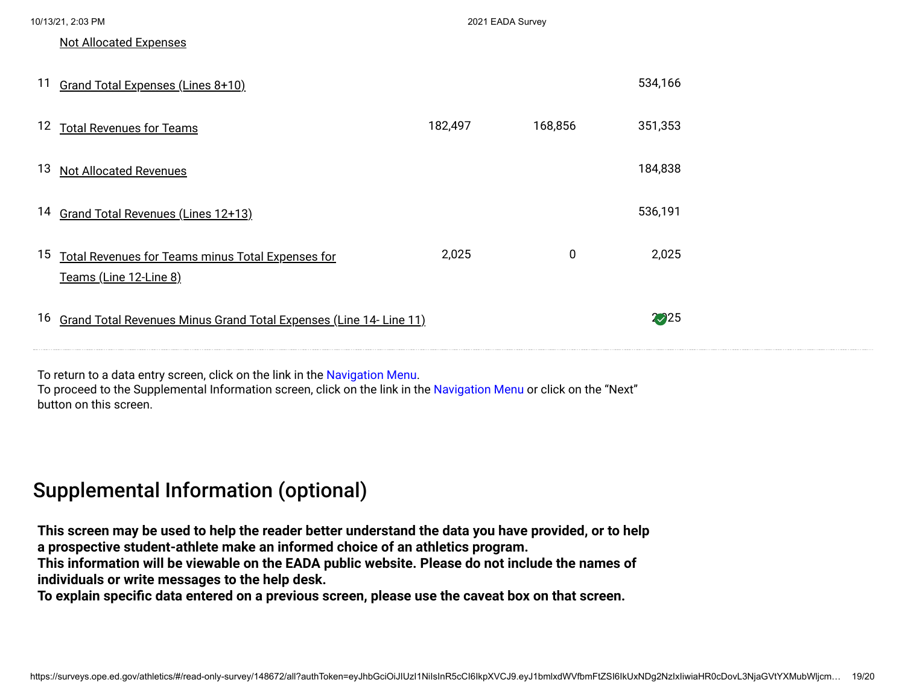|    | 10/13/21, 2:03 PM                                                           |         | 2021 EADA Survey |         |  |
|----|-----------------------------------------------------------------------------|---------|------------------|---------|--|
|    | <b>Not Allocated Expenses</b>                                               |         |                  |         |  |
| 11 | Grand Total Expenses (Lines 8+10)                                           |         |                  | 534,166 |  |
|    | 12 Total Revenues for Teams                                                 | 182,497 | 168,856          | 351,353 |  |
| 13 | <b>Not Allocated Revenues</b>                                               |         |                  | 184,838 |  |
| 14 | Grand Total Revenues (Lines 12+13)                                          |         |                  | 536,191 |  |
| 15 | Total Revenues for Teams minus Total Expenses for<br>Teams (Line 12-Line 8) | 2,025   | 0                | 2,025   |  |
| 16 | Grand Total Revenues Minus Grand Total Expenses (Line 14- Line 11)          |         |                  | 225     |  |
|    |                                                                             |         |                  |         |  |

To return to a data entry screen, click on the link in the Navigation Menu. To proceed to the Supplemental Information screen, click on the link in the Navigation Menu or click on the "Next" button on this screen.

## Supplemental Information (optional)

**This screen may be used to help the reader better understand the data you have provided, or to help a prospective student-athlete make an informed choice of an athletics program. This information will be viewable on the EADA public website. Please do not include the names of individuals or write messages to the help desk.**

**To explain specific data entered on a previous screen, please use the caveat box on that screen.**